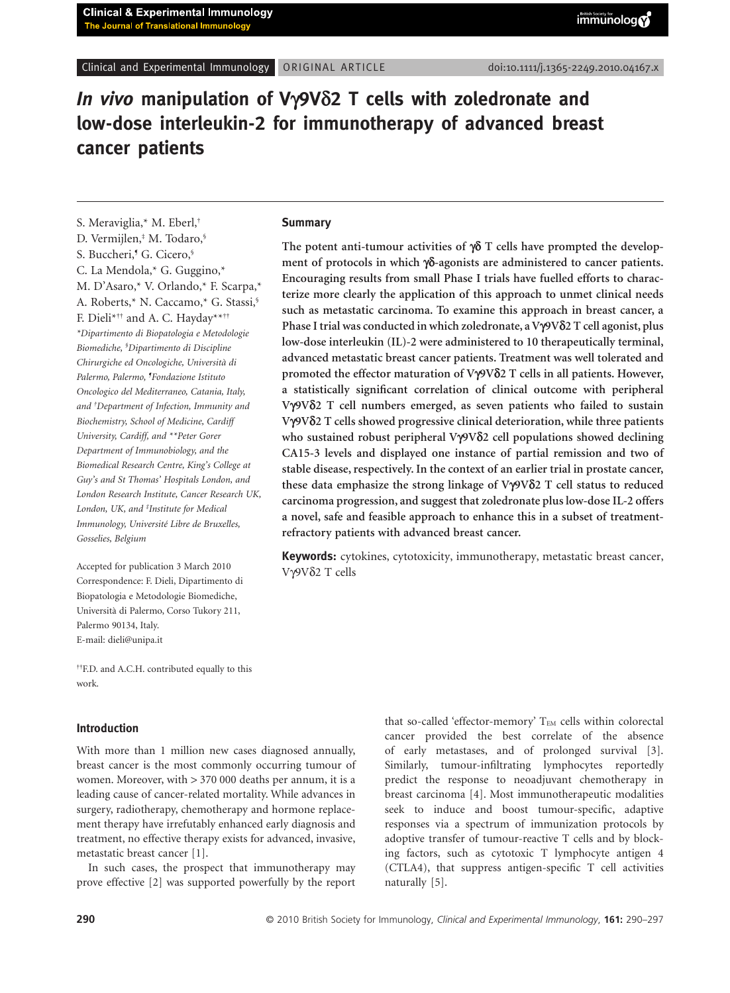# *In vivo* **manipulation of V**g**9V**d**2 T cells with zoledronate and low-dose interleukin-2 for immunotherapy of advanced breast** cancer patients

S. Meraviglia,\* M. Eberl, † D. Vermijlen, ‡ M. Todaro, § S. Buccheri, ¶ G. Cicero, § C. La Mendola,\* G. Guggino,\* M. D'Asaro,\* V. Orlando,\* F. Scarpa,\* A. Roberts,\* N. Caccamo,\* G. Stassi, § F. Dieli\*†† and A. C. Hayday\*\*†† *\*Dipartimento di Biopatologia e Metodologie Biomediche, § Dipartimento di Discipline Chirurgiche ed Oncologiche, Università di Palermo, Palermo, ¶ Fondazione Istituto Oncologico del Mediterraneo, Catania, Italy, and † Department of Infection, Immunity and Biochemistry, School of Medicine, Cardiff University, Cardiff, and \*\*Peter Gorer Department of Immunobiology, and the Biomedical Research Centre, King's College at Guy's and St Thomas' Hospitals London, and London Research Institute, Cancer Research UK, London, UK, and ‡ Institute for Medical Immunology, Université Libre de Bruxelles, Gosselies, Belgium*

Accepted for publication 3 March 2010  $V\gamma9V\delta2$  T cells Correspondence: F. Dieli, Dipartimento di Biopatologia e Metodologie Biomediche, Università di Palermo, Corso Tukory 211, Palermo 90134, Italy. E-mail: dieli@unipa.it

††F.D. and A.C.H. contributed equally to this work.

#### **Introduction**

With more than 1 million new cases diagnosed annually, breast cancer is the most commonly occurring tumour of women. Moreover, with > 370 000 deaths per annum, it is a leading cause of cancer-related mortality. While advances in surgery, radiotherapy, chemotherapy and hormone replacement therapy have irrefutably enhanced early diagnosis and treatment, no effective therapy exists for advanced, invasive, metastatic breast cancer [1].

In such cases, the prospect that immunotherapy may prove effective [2] was supported powerfully by the report that so-called 'effector-memory'  $T_{EM}$  cells within colorectal cancer provided the best correlate of the absence of early metastases, and of prolonged survival [3]. Similarly, tumour-infiltrating lymphocytes reportedly predict the response to neoadjuvant chemotherapy in breast carcinoma [4]. Most immunotherapeutic modalities seek to induce and boost tumour-specific, adaptive responses via a spectrum of immunization protocols by adoptive transfer of tumour-reactive T cells and by blocking factors, such as cytotoxic T lymphocyte antigen 4 (CTLA4), that suppress antigen-specific T cell activities naturally [5].

## **Summary**

The potent anti-tumour activities of  $\gamma \delta$  T cells have prompted the development of protocols in which  $\gamma\delta$ -agonists are administered to cancer patients. **Encouraging results from small Phase I trials have fuelled efforts to characterize more clearly the application of this approach to unmet clinical needs such as metastatic carcinoma. To examine this approach in breast cancer, a Phase I trial was conducted in which zoledronate, a V**g**9V**d**2 T cell agonist, plus low-dose interleukin (IL)-2 were administered to 10 therapeutically terminal, advanced metastatic breast cancer patients. Treatment was well tolerated and promoted the effector maturation of V**g**9V**d**2 T cells in all patients. However, a statistically significant correlation of clinical outcome with peripheral V**g**9V**d**2 T cell numbers emerged, as seven patients who failed to sustain V**g**9V**d**2 T cells showed progressive clinical deterioration, while three patients** who sustained robust peripheral Vγ9Vδ2 cell populations showed declining **CA15-3 levels and displayed one instance of partial remission and two of stable disease, respectively. In the context of an earlier trial in prostate cancer,** these data emphasize the strong linkage of Vγ9Vδ2 T cell status to reduced **carcinoma progression, and suggest that zoledronate plus low-dose IL-2 offers a novel, safe and feasible approach to enhance this in a subset of treatmentrefractory patients with advanced breast cancer.**

**Keywords:** cytokines, cytotoxicity, immunotherapy, metastatic breast cancer,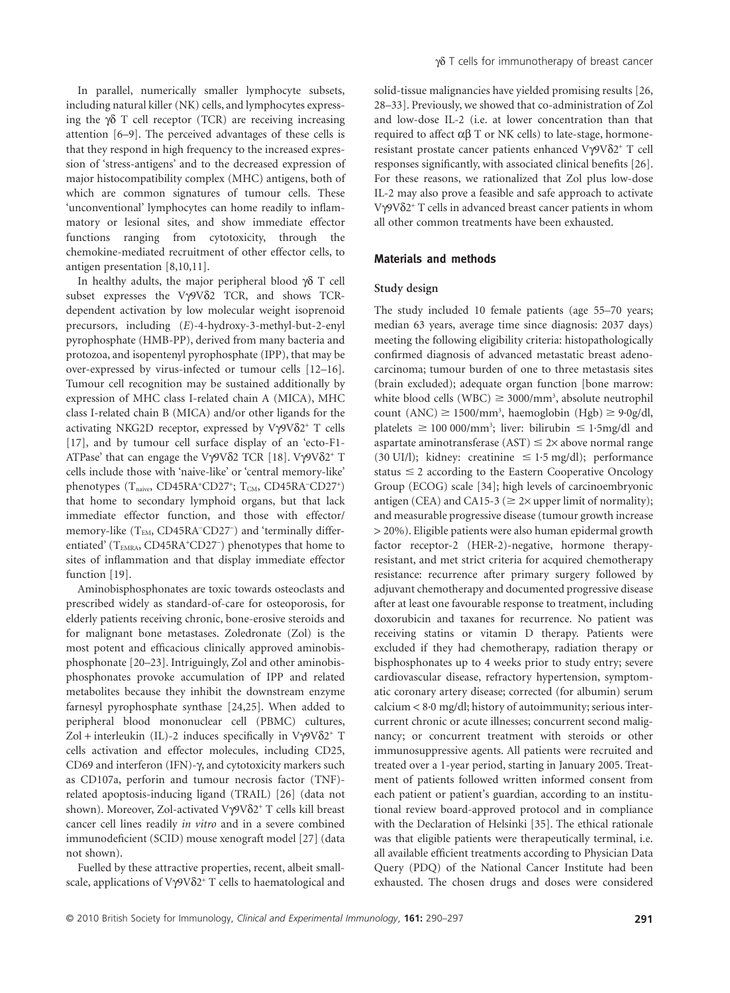In parallel, numerically smaller lymphocyte subsets, including natural killer (NK) cells, and lymphocytes expressing the  $\gamma\delta$  T cell receptor (TCR) are receiving increasing attention [6–9]. The perceived advantages of these cells is that they respond in high frequency to the increased expression of 'stress-antigens' and to the decreased expression of major histocompatibility complex (MHC) antigens, both of which are common signatures of tumour cells. These 'unconventional' lymphocytes can home readily to inflammatory or lesional sites, and show immediate effector functions ranging from cytotoxicity, through the chemokine-mediated recruitment of other effector cells, to antigen presentation [8,10,11].

In healthy adults, the major peripheral blood  $\gamma\delta$  T cell subset expresses the V $\gamma$ 9V $\delta$ 2 TCR, and shows TCRdependent activation by low molecular weight isoprenoid precursors, including (*E*)-4-hydroxy-3-methyl-but-2-enyl pyrophosphate (HMB-PP), derived from many bacteria and protozoa, and isopentenyl pyrophosphate (IPP), that may be over-expressed by virus-infected or tumour cells [12–16]. Tumour cell recognition may be sustained additionally by expression of MHC class I-related chain A (MICA), MHC class I-related chain B (MICA) and/or other ligands for the activating NKG2D receptor, expressed by  $V\gamma9V\delta2^+$  T cells [17], and by tumour cell surface display of an 'ecto-F1- ATPase' that can engage the V $\gamma$ 9V $\delta$ 2 TCR [18]. V $\gamma$ 9V $\delta$ 2<sup>+</sup> T cells include those with 'naive-like' or 'central memory-like' phenotypes (T<sub>naive</sub>, CD45RA<sup>+</sup>CD27<sup>+</sup>; T<sub>CM</sub>, CD45RA<sup>-</sup>CD27<sup>+</sup>) that home to secondary lymphoid organs, but that lack immediate effector function, and those with effector/ memory-like (TEM, CD45RA<sup>-</sup>CD27<sup>-</sup>) and 'terminally differentiated' (T<sub>EMRA</sub>, CD45RA<sup>+</sup>CD27<sup>-</sup>) phenotypes that home to sites of inflammation and that display immediate effector function [19].

Aminobisphosphonates are toxic towards osteoclasts and prescribed widely as standard-of-care for osteoporosis, for elderly patients receiving chronic, bone-erosive steroids and for malignant bone metastases. Zoledronate (Zol) is the most potent and efficacious clinically approved aminobisphosphonate [20–23]. Intriguingly, Zol and other aminobisphosphonates provoke accumulation of IPP and related metabolites because they inhibit the downstream enzyme farnesyl pyrophosphate synthase [24,25]. When added to peripheral blood mononuclear cell (PBMC) cultures, Zol + interleukin (IL)-2 induces specifically in V $\gamma$ 9V $\delta$ 2<sup>+</sup> T cells activation and effector molecules, including CD25, CD69 and interferon (IFN)-γ, and cytotoxicity markers such as CD107a, perforin and tumour necrosis factor (TNF) related apoptosis-inducing ligand (TRAIL) [26] (data not shown). Moreover, Zol-activated Vγ9Vδ2<sup>+</sup> T cells kill breast cancer cell lines readily *in vitro* and in a severe combined immunodeficient (SCID) mouse xenograft model [27] (data not shown).

Fuelled by these attractive properties, recent, albeit smallscale, applications of V $\gamma$ 9V $\delta$ 2<sup>+</sup> T cells to haematological and solid-tissue malignancies have yielded promising results [26, 28–33]. Previously, we showed that co-administration of Zol and low-dose IL-2 (i.e. at lower concentration than that required to affect  $\alpha\beta$  T or NK cells) to late-stage, hormoneresistant prostate cancer patients enhanced  $V\gamma9V\delta2^+$  T cell responses significantly, with associated clinical benefits [26]. For these reasons, we rationalized that Zol plus low-dose IL-2 may also prove a feasible and safe approach to activate Vγ9Vδ2<sup>+</sup> T cells in advanced breast cancer patients in whom all other common treatments have been exhausted.

## **Materials and methods**

## **Study design**

The study included 10 female patients (age 55–70 years; median 63 years, average time since diagnosis: 2037 days) meeting the following eligibility criteria: histopathologically confirmed diagnosis of advanced metastatic breast adenocarcinoma; tumour burden of one to three metastasis sites (brain excluded); adequate organ function [bone marrow: white blood cells (WBC)  $\geq$  3000/mm<sup>3</sup>, absolute neutrophil count (ANC)  $\geq$  1500/mm<sup>3</sup>, haemoglobin (Hgb)  $\geq$  9·0g/dl, platelets  $\geq 10000/mm^3$ ; liver: bilirubin  $\leq 1.5$ mg/dl and aspartate aminotransferase (AST)  $\leq$  2 $\times$  above normal range (30 UI/l); kidney: creatinine  $\leq 1.5$  mg/dl); performance status  $\leq$  2 according to the Eastern Cooperative Oncology Group (ECOG) scale [34]; high levels of carcinoembryonic antigen (CEA) and CA15-3 ( $\geq$  2× upper limit of normality); and measurable progressive disease (tumour growth increase > 20%). Eligible patients were also human epidermal growth factor receptor-2 (HER-2)-negative, hormone therapyresistant, and met strict criteria for acquired chemotherapy resistance: recurrence after primary surgery followed by adjuvant chemotherapy and documented progressive disease after at least one favourable response to treatment, including doxorubicin and taxanes for recurrence. No patient was receiving statins or vitamin D therapy. Patients were excluded if they had chemotherapy, radiation therapy or bisphosphonates up to 4 weeks prior to study entry; severe cardiovascular disease, refractory hypertension, symptomatic coronary artery disease; corrected (for albumin) serum calcium < 8·0 mg/dl; history of autoimmunity; serious intercurrent chronic or acute illnesses; concurrent second malignancy; or concurrent treatment with steroids or other immunosuppressive agents. All patients were recruited and treated over a 1-year period, starting in January 2005. Treatment of patients followed written informed consent from each patient or patient's guardian, according to an institutional review board-approved protocol and in compliance with the Declaration of Helsinki [35]. The ethical rationale was that eligible patients were therapeutically terminal, i.e. all available efficient treatments according to Physician Data Query (PDQ) of the National Cancer Institute had been exhausted. The chosen drugs and doses were considered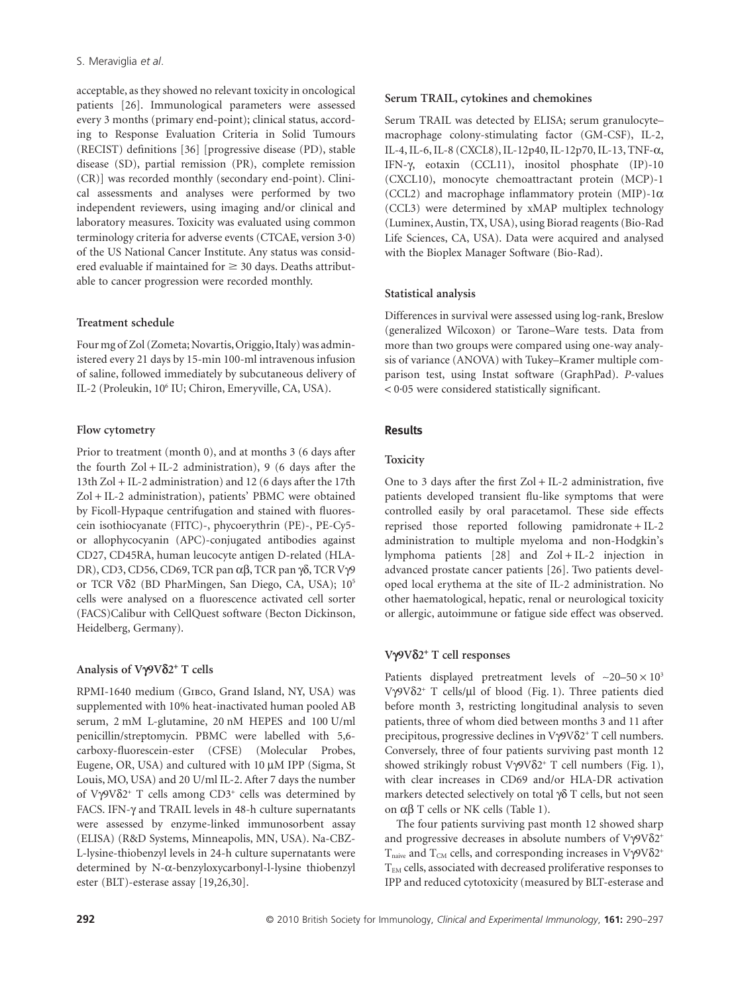acceptable, as they showed no relevant toxicity in oncological patients [26]. Immunological parameters were assessed every 3 months (primary end-point); clinical status, according to Response Evaluation Criteria in Solid Tumours (RECIST) definitions [36] [progressive disease (PD), stable disease (SD), partial remission (PR), complete remission (CR)] was recorded monthly (secondary end-point). Clinical assessments and analyses were performed by two independent reviewers, using imaging and/or clinical and laboratory measures. Toxicity was evaluated using common terminology criteria for adverse events (CTCAE, version 3·0) of the US National Cancer Institute. Any status was considered evaluable if maintained for  $\geq$  30 days. Deaths attributable to cancer progression were recorded monthly.

## **Treatment schedule**

Four mg of Zol (Zometa; Novartis, Origgio, Italy) was administered every 21 days by 15-min 100-ml intravenous infusion of saline, followed immediately by subcutaneous delivery of IL-2 (Proleukin, 106 IU; Chiron, Emeryville, CA, USA).

## **Flow cytometry**

Prior to treatment (month 0), and at months 3 (6 days after the fourth  $Zol + IL-2$  administration), 9 (6 days after the 13th Zol + IL-2 administration) and 12 (6 days after the 17th Zol + IL-2 administration), patients' PBMC were obtained by Ficoll-Hypaque centrifugation and stained with fluorescein isothiocyanate (FITC)-, phycoerythrin (PE)-, PE-Cy5 or allophycocyanin (APC)-conjugated antibodies against CD27, CD45RA, human leucocyte antigen D-related (HLA-DR), CD3, CD56, CD69, TCR pan  $\alpha\beta$ , TCR pan  $\gamma\delta$ , TCR V $\gamma$ 9 or TCR V $\delta$ 2 (BD PharMingen, San Diego, CA, USA); 10<sup>5</sup> cells were analysed on a fluorescence activated cell sorter (FACS)Calibur with CellQuest software (Becton Dickinson, Heidelberg, Germany).

# **Analysis of V**g**9V**d**2**<sup>+</sup> **T cells**

RPMI-1640 medium (Gibco, Grand Island, NY, USA) was supplemented with 10% heat-inactivated human pooled AB serum, 2 mM L-glutamine, 20 nM HEPES and 100 U/ml penicillin/streptomycin. PBMC were labelled with 5,6 carboxy-fluorescein-ester (CFSE) (Molecular Probes, Eugene, OR, USA) and cultured with 10 µM IPP (Sigma, St Louis, MO, USA) and 20 U/ml IL-2. After 7 days the number of V $\gamma$ 9V $\delta$ 2<sup>+</sup> T cells among CD3<sup>+</sup> cells was determined by FACS. IFN- $\gamma$  and TRAIL levels in 48-h culture supernatants were assessed by enzyme-linked immunosorbent assay (ELISA) (R&D Systems, Minneapolis, MN, USA). Na-CBZ-L-lysine-thiobenzyl levels in 24-h culture supernatants were determined by N-a-benzyloxycarbonyl-l-lysine thiobenzyl ester (BLT)-esterase assay [19,26,30].

## **Serum TRAIL, cytokines and chemokines**

Serum TRAIL was detected by ELISA; serum granulocyte– macrophage colony-stimulating factor (GM-CSF), IL-2, IL-4, IL-6, IL-8 (CXCL8), IL-12p40, IL-12p70, IL-13, TNF-a, IFN-g, eotaxin (CCL11), inositol phosphate (IP)-10 (CXCL10), monocyte chemoattractant protein (MCP)-1 (CCL2) and macrophage inflammatory protein (MIP)-1 $\alpha$ (CCL3) were determined by xMAP multiplex technology (Luminex, Austin, TX, USA), using Biorad reagents (Bio-Rad Life Sciences, CA, USA). Data were acquired and analysed with the Bioplex Manager Software (Bio-Rad).

# **Statistical analysis**

Differences in survival were assessed using log-rank, Breslow (generalized Wilcoxon) or Tarone–Ware tests. Data from more than two groups were compared using one-way analysis of variance (ANOVA) with Tukey–Kramer multiple comparison test, using Instat software (GraphPad). *P*-values < 0·05 were considered statistically significant.

# **Results**

# **Toxicity**

One to 3 days after the first  $Zol + IL-2$  administration, five patients developed transient flu-like symptoms that were controlled easily by oral paracetamol. These side effects reprised those reported following pamidronate + IL-2 administration to multiple myeloma and non-Hodgkin's lymphoma patients [28] and Zol + IL-2 injection in advanced prostate cancer patients [26]. Two patients developed local erythema at the site of IL-2 administration. No other haematological, hepatic, renal or neurological toxicity or allergic, autoimmune or fatigue side effect was observed.

# **V**g**9V**d**2**<sup>+</sup> **T cell responses**

Patients displayed pretreatment levels of  $\sim$ 20–50  $\times$  10<sup>3</sup> V $\sqrt{9V\delta2^+}$  T cells/ul of blood (Fig. 1). Three patients died before month 3, restricting longitudinal analysis to seven patients, three of whom died between months 3 and 11 after precipitous, progressive declines in  $V\gamma9V\delta2^+$  T cell numbers. Conversely, three of four patients surviving past month 12 showed strikingly robust V $\gamma$ 9V $\delta$ 2<sup>+</sup> T cell numbers (Fig. 1), with clear increases in CD69 and/or HLA-DR activation markers detected selectively on total  $\gamma\delta$  T cells, but not seen on  $\alpha\beta$  T cells or NK cells (Table 1).

The four patients surviving past month 12 showed sharp and progressive decreases in absolute numbers of  $V\gamma9V\delta2^+$  $T_{\text{naive}}$  and  $T_{\text{CM}}$  cells, and corresponding increases in V $\gamma$ 9V $\delta$ 2<sup>+</sup> T<sub>EM</sub> cells, associated with decreased proliferative responses to IPP and reduced cytotoxicity (measured by BLT-esterase and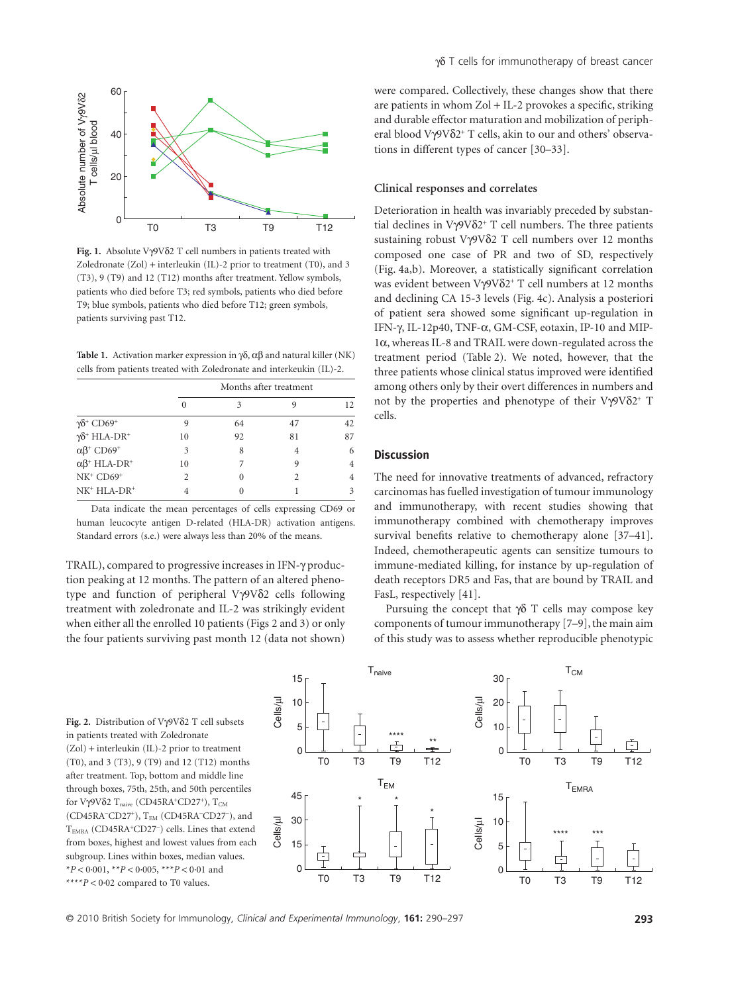

Fig. 1. Absolute Vγ9Vδ2 T cell numbers in patients treated with Zoledronate (Zol) + interleukin (IL)-2 prior to treatment (T0), and 3 (T3), 9 (T9) and 12 (T12) months after treatment. Yellow symbols, patients who died before T3; red symbols, patients who died before T9; blue symbols, patients who died before T12; green symbols, patients surviving past T12.

**Table 1.** Activation marker expression in  $\delta$ ,  $\alpha$  $\beta$  and natural killer (NK) cells from patients treated with Zoledronate and interkeukin (IL)-2.

|                                              | Months after treatment |    |    |    |
|----------------------------------------------|------------------------|----|----|----|
|                                              |                        | 3  |    | 12 |
| $\gamma\delta^+$ CD69 <sup>+</sup>           |                        | 64 | 47 | 42 |
| $\gamma\delta^+$ HLA-DR <sup>+</sup>         | 10                     | 92 | 81 | 87 |
| $\alpha\beta$ <sup>+</sup> CD69 <sup>+</sup> | 3                      | 8  | 4  | 6  |
| $\alpha\beta^+$ HLA-DR <sup>+</sup>          | 10                     |    | 9  |    |
| $NK^+$ $CD69^+$                              |                        |    |    |    |
| $NK^+$ HLA- $DR^+$                           |                        |    |    |    |

Data indicate the mean percentages of cells expressing CD69 or human leucocyte antigen D-related (HLA-DR) activation antigens. Standard errors (s.e.) were always less than 20% of the means.

TRAIL), compared to progressive increases in IFN- $\gamma$  production peaking at 12 months. The pattern of an altered phenotype and function of peripheral Vy9V82 cells following treatment with zoledronate and IL-2 was strikingly evident when either all the enrolled 10 patients (Figs 2 and 3) or only the four patients surviving past month 12 (data not shown) were compared. Collectively, these changes show that there are patients in whom Zol + IL-2 provokes a specific, striking and durable effector maturation and mobilization of peripheral blood Vy9V $\delta$ 2<sup>+</sup> T cells, akin to our and others' observations in different types of cancer [30–33].

## **Clinical responses and correlates**

Deterioration in health was invariably preceded by substantial declines in  $V\gamma9V\delta2^+$  T cell numbers. The three patients sustaining robust V $\gamma$ 9V $\delta$ 2 T cell numbers over 12 months composed one case of PR and two of SD, respectively (Fig. 4a,b). Moreover, a statistically significant correlation was evident between V $\gamma$ 9V $\delta$ 2<sup>+</sup> T cell numbers at 12 months and declining CA 15-3 levels (Fig. 4c). Analysis a posteriori of patient sera showed some significant up-regulation in IFN-g, IL-12p40, TNF-a, GM-CSF, eotaxin, IP-10 and MIP-1a, whereas IL-8 and TRAIL were down-regulated across the treatment period (Table 2). We noted, however, that the three patients whose clinical status improved were identified among others only by their overt differences in numbers and not by the properties and phenotype of their  $V\gamma9V\delta2^+$  T cells.

#### **Discussion**

The need for innovative treatments of advanced, refractory carcinomas has fuelled investigation of tumour immunology and immunotherapy, with recent studies showing that immunotherapy combined with chemotherapy improves survival benefits relative to chemotherapy alone [37–41]. Indeed, chemotherapeutic agents can sensitize tumours to immune-mediated killing, for instance by up-regulation of death receptors DR5 and Fas, that are bound by TRAIL and FasL, respectively [41].

Pursuing the concept that  $\gamma\delta$  T cells may compose key components of tumour immunotherapy [7–9], the main aim of this study was to assess whether reproducible phenotypic

Fig. 2. Distribution of  $V\gamma9V\delta2$  T cell subsets in patients treated with Zoledronate (Zol) + interleukin (IL)-2 prior to treatment (T0), and 3 (T3), 9 (T9) and 12 (T12) months after treatment. Top, bottom and middle line through boxes, 75th, 25th, and 50th percentiles for V $\gamma$ 9V $\delta$ 2 T<sub>naive</sub> (CD45RA<sup>+</sup>CD27<sup>+</sup>), T<sub>CM</sub> (CD45RA<sup>-</sup>CD27<sup>+</sup>), T<sub>EM</sub> (CD45RA<sup>-</sup>CD27<sup>-</sup>), and TEMRA (CD45RA<sup>+</sup>CD27<sup>-</sup>) cells. Lines that extend from boxes, highest and lowest values from each subgroup. Lines within boxes, median values. \**P* < 0·001, \*\**P* < 0·005, \*\*\**P* < 0·01 and \*\*\*\**P* < 0·02 compared to T0 values.

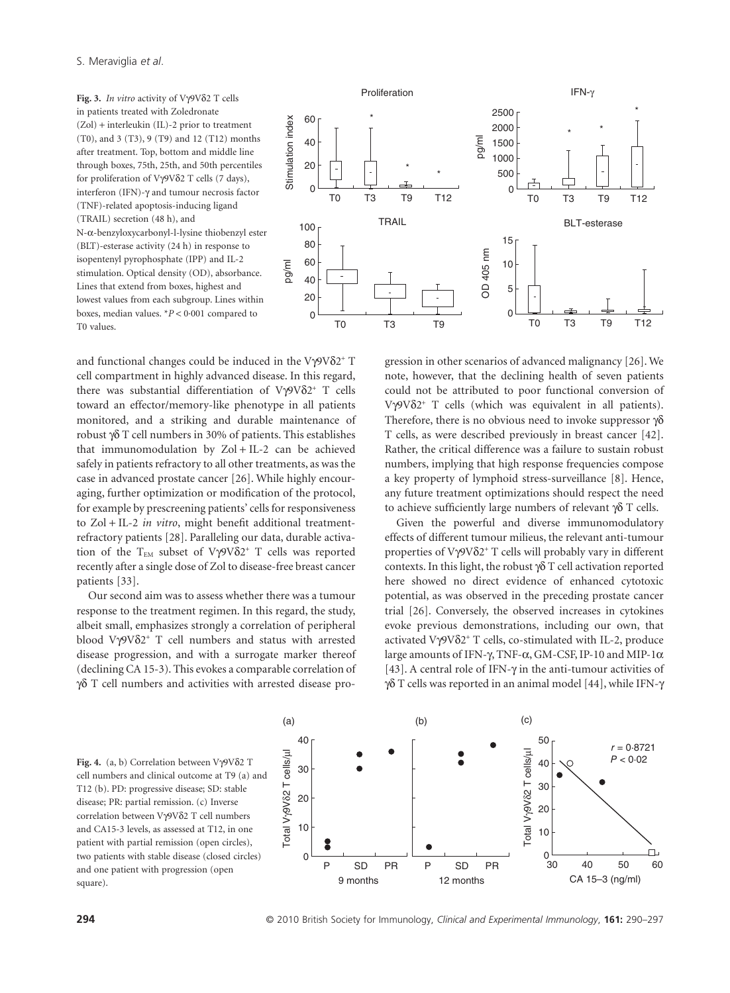Fig. 3. *In vitro* activity of Vγ9Vδ2 T cells in patients treated with Zoledronate (Zol) + interleukin (IL)-2 prior to treatment (T0), and 3 (T3), 9 (T9) and 12 (T12) months after treatment. Top, bottom and middle line through boxes, 75th, 25th, and 50th percentiles for proliferation of  $V\gamma9V\delta2$  T cells (7 days), interferon (IFN)- $\gamma$  and tumour necrosis factor (TNF)-related apoptosis-inducing ligand (TRAIL) secretion (48 h), and N-a-benzyloxycarbonyl-l-lysine thiobenzyl ester (BLT)-esterase activity (24 h) in response to isopentenyl pyrophosphate (IPP) and IL-2 stimulation. Optical density (OD), absorbance. Lines that extend from boxes, highest and lowest values from each subgroup. Lines within boxes, median values. \**P* < 0·001 compared to T0 values.



and functional changes could be induced in the V $\gamma$ 9V $\delta$ 2<sup>+</sup> T cell compartment in highly advanced disease. In this regard, there was substantial differentiation of  $V\gamma9V\delta2^+$  T cells toward an effector/memory-like phenotype in all patients monitored, and a striking and durable maintenance of robust  $\gamma\delta$  T cell numbers in 30% of patients. This establishes that immunomodulation by Zol + IL-2 can be achieved safely in patients refractory to all other treatments, as was the case in advanced prostate cancer [26]. While highly encouraging, further optimization or modification of the protocol, for example by prescreening patients' cells for responsiveness to Zol + IL-2 *in vitro*, might benefit additional treatmentrefractory patients [28]. Paralleling our data, durable activation of the T<sub>EM</sub> subset of V $\gamma$ 9V $\delta$ 2<sup>+</sup> T cells was reported recently after a single dose of Zol to disease-free breast cancer patients [33].

Our second aim was to assess whether there was a tumour response to the treatment regimen. In this regard, the study, albeit small, emphasizes strongly a correlation of peripheral blood V $\gamma$ 9V $\delta$ 2<sup>+</sup> T cell numbers and status with arrested disease progression, and with a surrogate marker thereof (declining CA 15-3). This evokes a comparable correlation of  $\gamma\delta$  T cell numbers and activities with arrested disease progression in other scenarios of advanced malignancy [26]. We note, however, that the declining health of seven patients could not be attributed to poor functional conversion of  $V\gamma9V\delta2^+$  T cells (which was equivalent in all patients). Therefore, there is no obvious need to invoke suppressor  $\gamma\delta$ T cells, as were described previously in breast cancer [42]. Rather, the critical difference was a failure to sustain robust numbers, implying that high response frequencies compose a key property of lymphoid stress-surveillance [8]. Hence, any future treatment optimizations should respect the need to achieve sufficiently large numbers of relevant  $\gamma\delta$  T cells.

Given the powerful and diverse immunomodulatory effects of different tumour milieus, the relevant anti-tumour properties of V $\gamma$ 9V $\delta$ 2<sup>+</sup> T cells will probably vary in different contexts. In this light, the robust  $\gamma\delta$  T cell activation reported here showed no direct evidence of enhanced cytotoxic potential, as was observed in the preceding prostate cancer trial [26]. Conversely, the observed increases in cytokines evoke previous demonstrations, including our own, that activated V $\gamma$ 9V $\delta$ 2<sup>+</sup> T cells, co-stimulated with IL-2, produce large amounts of IFN- $\gamma$ , TNF- $\alpha$ , GM-CSF, IP-10 and MIP-1 $\alpha$ [43]. A central role of IFN- $\gamma$  in the anti-tumour activities of  $\gamma\delta$  T cells was reported in an animal model [44], while IFN- $\gamma$ 

Fig. 4.  $(a, b)$  Correlation between  $V\gamma9V\delta2$  T cell numbers and clinical outcome at T9 (a) and T12 (b). PD: progressive disease; SD: stable disease; PR: partial remission. (c) Inverse correlation between V $\gamma$ 9V $\delta$ 2 T cell numbers and CA15-3 levels, as assessed at T12, in one patient with partial remission (open circles), two patients with stable disease (closed circles) and one patient with progression (open square).

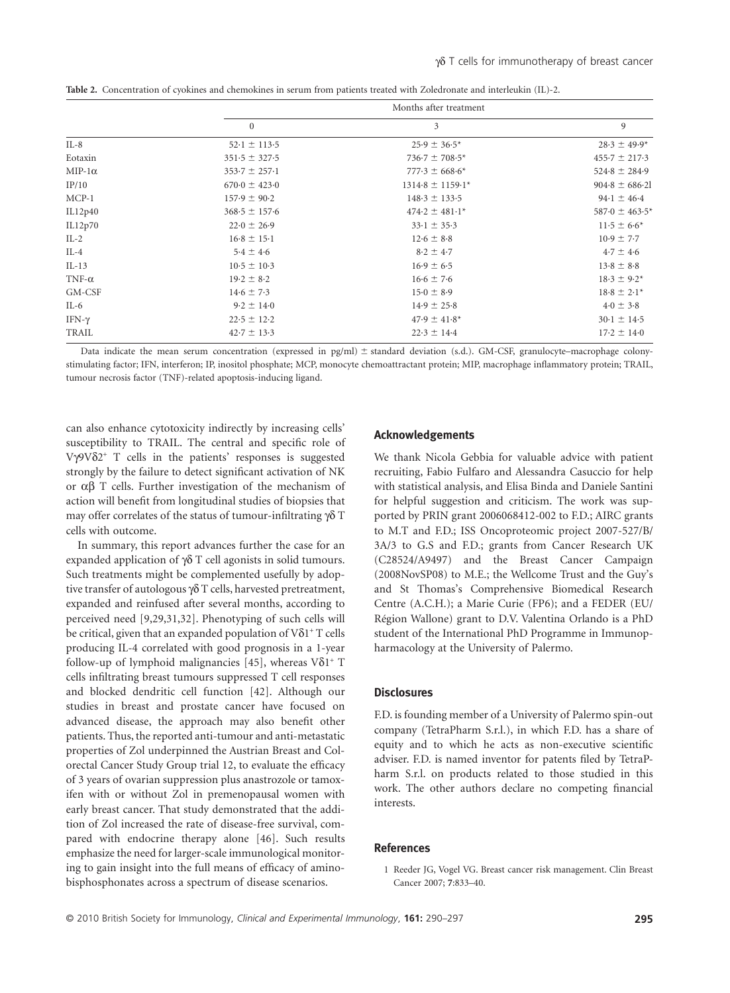|               | Months after treatment       |                      |                     |  |
|---------------|------------------------------|----------------------|---------------------|--|
|               | $\mathbf{0}$                 | 3                    | 9                   |  |
| $IL-8$        | $52 \cdot 1 \pm 113 \cdot 5$ | $25.9 \pm 36.5^*$    | $28.3 \pm 49.9*$    |  |
| Eotaxin       | $351.5 \pm 327.5$            | $736.7 \pm 708.5*$   | $455.7 \pm 217.3$   |  |
| $MIP-1\alpha$ | $353.7 \pm 257.1$            | $777.3 \pm 668.6*$   | $524.8 \pm 284.9$   |  |
| IP/10         | $670.0 \pm 423.0$            | $1314.8 \pm 1159.1*$ | $904.8 \pm 686.21$  |  |
| $MCP-1$       | $157.9 \pm 90.2$             | $148.3 \pm 133.5$    | $94.1 \pm 46.4$     |  |
| IL12p40       | $368.5 \pm 157.6$            | $474.2 \pm 481.1*$   | $587.0 \pm 463.5^*$ |  |
| IL12p70       | $22.0 \pm 26.9$              | $33.1 \pm 35.3$      | $11.5 \pm 6.6^*$    |  |
| $IL-2$        | $16.8 \pm 15.1$              | $12.6 \pm 8.8$       | $10.9 \pm 7.7$      |  |
| $IL-4$        | $5.4 \pm 4.6$                | $8.2 \pm 4.7$        | $4.7 \pm 4.6$       |  |
| $IL-13$       | $10.5 \pm 10.3$              | $16.9 \pm 6.5$       | $13.8 \pm 8.8$      |  |
| TNF- $\alpha$ | $19.2 \pm 8.2$               | $16.6 \pm 7.6$       | $18.3 \pm 9.2^*$    |  |
| GM-CSF        | $14.6 \pm 7.3$               | $15.0 \pm 8.9$       | $18.8 \pm 2.1*$     |  |
| $IL-6$        | $9.2 \pm 14.0$               | $14.9 \pm 25.8$      | $4.0 \pm 3.8$       |  |
| IFN-γ         | $22.5 \pm 12.2$              | $47.9 \pm 41.8^*$    | $30.1 \pm 14.5$     |  |
| TRAIL         | $42.7 \pm 13.3$              | $22.3 \pm 14.4$      | $17.2 \pm 14.0$     |  |
|               |                              |                      |                     |  |

**Table 2.** Concentration of cyokines and chemokines in serum from patients treated with Zoledronate and interleukin (IL)-2.

Data indicate the mean serum concentration (expressed in pg/ml)  $\pm$  standard deviation (s.d.). GM-CSF, granulocyte–macrophage colonystimulating factor; IFN, interferon; IP, inositol phosphate; MCP, monocyte chemoattractant protein; MIP, macrophage inflammatory protein; TRAIL, tumour necrosis factor (TNF)-related apoptosis-inducing ligand.

can also enhance cytotoxicity indirectly by increasing cells' susceptibility to TRAIL. The central and specific role of V $\gamma$ 9V $\delta$ 2<sup>+</sup> T cells in the patients' responses is suggested strongly by the failure to detect significant activation of NK or  $\alpha\beta$  T cells. Further investigation of the mechanism of action will benefit from longitudinal studies of biopsies that may offer correlates of the status of tumour-infiltrating  $\gamma \delta$  T cells with outcome.

In summary, this report advances further the case for an expanded application of  $\gamma\delta$  T cell agonists in solid tumours. Such treatments might be complemented usefully by adoptive transfer of autologous  $\gamma\delta$  T cells, harvested pretreatment, expanded and reinfused after several months, according to perceived need [9,29,31,32]. Phenotyping of such cells will be critical, given that an expanded population of  $V\delta1$ <sup>+</sup> T cells producing IL-4 correlated with good prognosis in a 1-year follow-up of lymphoid malignancies [45], whereas  $V\delta1$ <sup>+</sup> T cells infiltrating breast tumours suppressed T cell responses and blocked dendritic cell function [42]. Although our studies in breast and prostate cancer have focused on advanced disease, the approach may also benefit other patients. Thus, the reported anti-tumour and anti-metastatic properties of Zol underpinned the Austrian Breast and Colorectal Cancer Study Group trial 12, to evaluate the efficacy of 3 years of ovarian suppression plus anastrozole or tamoxifen with or without Zol in premenopausal women with early breast cancer. That study demonstrated that the addition of Zol increased the rate of disease-free survival, compared with endocrine therapy alone [46]. Such results emphasize the need for larger-scale immunological monitoring to gain insight into the full means of efficacy of aminobisphosphonates across a spectrum of disease scenarios.

#### **Acknowledgements**

We thank Nicola Gebbia for valuable advice with patient recruiting, Fabio Fulfaro and Alessandra Casuccio for help with statistical analysis, and Elisa Binda and Daniele Santini for helpful suggestion and criticism. The work was supported by PRIN grant 2006068412-002 to F.D.; AIRC grants to M.T and F.D.; ISS Oncoproteomic project 2007-527/B/ 3A/3 to G.S and F.D.; grants from Cancer Research UK (C28524/A9497) and the Breast Cancer Campaign (2008NovSP08) to M.E.; the Wellcome Trust and the Guy's and St Thomas's Comprehensive Biomedical Research Centre (A.C.H.); a Marie Curie (FP6); and a FEDER (EU/ Région Wallone) grant to D.V. Valentina Orlando is a PhD student of the International PhD Programme in Immunopharmacology at the University of Palermo.

#### **Disclosures**

F.D. is founding member of a University of Palermo spin-out company (TetraPharm S.r.l.), in which F.D. has a share of equity and to which he acts as non-executive scientific adviser. F.D. is named inventor for patents filed by TetraPharm S.r.l. on products related to those studied in this work. The other authors declare no competing financial interests.

## **References**

1 Reeder JG, Vogel VG. Breast cancer risk management. Clin Breast Cancer 2007; **7**:833–40.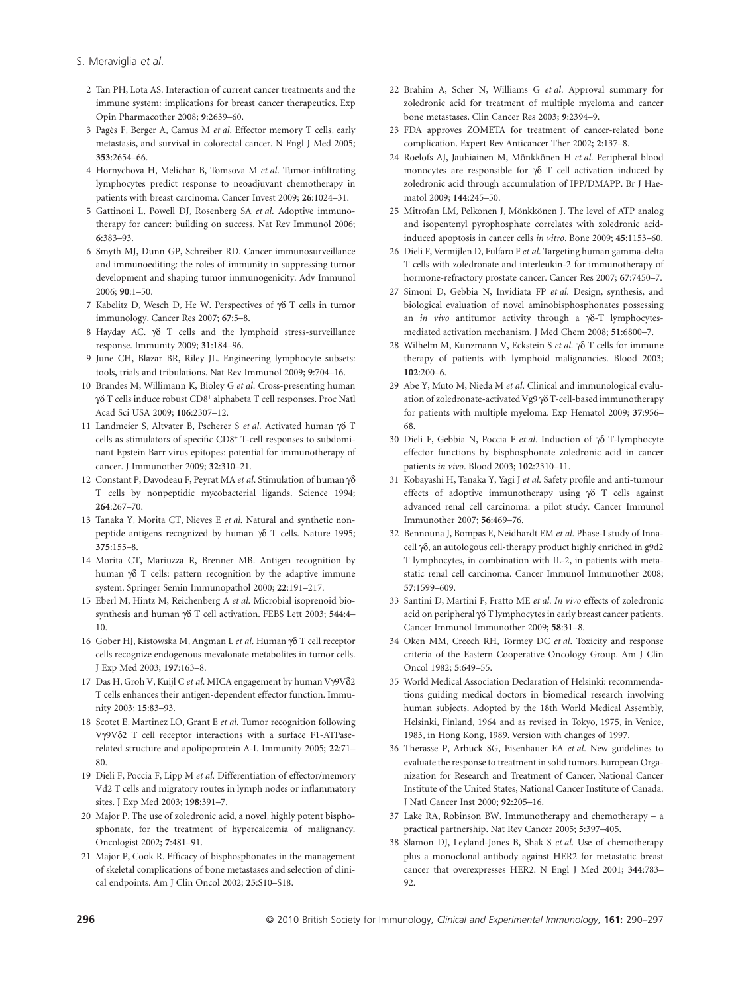- S. Meraviglia *et al*.
	- 2 Tan PH, Lota AS. Interaction of current cancer treatments and the immune system: implications for breast cancer therapeutics. Exp Opin Pharmacother 2008; **9**:2639–60.
	- 3 Pagès F, Berger A, Camus M *et al*. Effector memory T cells, early metastasis, and survival in colorectal cancer. N Engl J Med 2005; **353**:2654–66.
	- 4 Hornychova H, Melichar B, Tomsova M *et al*. Tumor-infiltrating lymphocytes predict response to neoadjuvant chemotherapy in patients with breast carcinoma. Cancer Invest 2009; **26**:1024–31.
	- 5 Gattinoni L, Powell DJ, Rosenberg SA *et al*. Adoptive immunotherapy for cancer: building on success. Nat Rev Immunol 2006; **6**:383–93.
	- 6 Smyth MJ, Dunn GP, Schreiber RD. Cancer immunosurveillance and immunoediting: the roles of immunity in suppressing tumor development and shaping tumor immunogenicity. Adv Immunol 2006; **90**:1–50.
	- 7 Kabelitz D, Wesch D, He W. Perspectives of  $\gamma\delta$  T cells in tumor immunology. Cancer Res 2007; **67**:5–8.
	- 8 Hayday AC.  $\gamma\delta$  T cells and the lymphoid stress-surveillance response. Immunity 2009; **31**:184–96.
	- 9 June CH, Blazar BR, Riley JL. Engineering lymphocyte subsets: tools, trials and tribulations. Nat Rev Immunol 2009; **9**:704–16.
- 10 Brandes M, Willimann K, Bioley G *et al*. Cross-presenting human γδ T cells induce robust CD8<sup>+</sup> alphabeta T cell responses. Proc Natl Acad Sci USA 2009; **106**:2307–12.
- 11 Landmeier S, Altvater B, Pscherer S et al. Activated human  $\gamma\delta$  T cells as stimulators of specific CD8<sup>+</sup> T-cell responses to subdominant Epstein Barr virus epitopes: potential for immunotherapy of cancer. J Immunother 2009; **32**:310–21.
- 12 Constant P, Davodeau F, Peyrat MA *et al*. Stimulation of human γδ T cells by nonpeptidic mycobacterial ligands. Science 1994; **264**:267–70.
- 13 Tanaka Y, Morita CT, Nieves E *et al*. Natural and synthetic nonpeptide antigens recognized by human  $\gamma\delta$  T cells. Nature 1995; **375**:155–8.
- 14 Morita CT, Mariuzza R, Brenner MB. Antigen recognition by human  $\gamma\delta$  T cells: pattern recognition by the adaptive immune system. Springer Semin Immunopathol 2000; **22**:191–217.
- 15 Eberl M, Hintz M, Reichenberg A *et al*. Microbial isoprenoid biosynthesis and human  $\gamma\delta$  T cell activation. FEBS Lett 2003; 544:4-10.
- 16 Gober HJ, Kistowska M, Angman L et al. Human γδ T cell receptor cells recognize endogenous mevalonate metabolites in tumor cells. J Exp Med 2003; **197**:163–8.
- 17 Das H, Groh V, Kuijl C et al. MICA engagement by human Vγ9Vδ2 T cells enhances their antigen-dependent effector function. Immunity 2003; **15**:83–93.
- 18 Scotet E, Martinez LO, Grant E *et al*. Tumor recognition following Vg9Vd2 T cell receptor interactions with a surface F1-ATPaserelated structure and apolipoprotein A-I. Immunity 2005; **22**:71– 80.
- 19 Dieli F, Poccia F, Lipp M *et al*. Differentiation of effector/memory Vd2 T cells and migratory routes in lymph nodes or inflammatory sites. J Exp Med 2003; **198**:391–7.
- 20 Major P. The use of zoledronic acid, a novel, highly potent bisphosphonate, for the treatment of hypercalcemia of malignancy. Oncologist 2002; **7**:481–91.
- 21 Major P, Cook R. Efficacy of bisphosphonates in the management of skeletal complications of bone metastases and selection of clinical endpoints. Am J Clin Oncol 2002; **25**:S10–S18.
- 22 Brahim A, Scher N, Williams G *et al*. Approval summary for zoledronic acid for treatment of multiple myeloma and cancer bone metastases. Clin Cancer Res 2003; **9**:2394–9.
- 23 FDA approves ZOMETA for treatment of cancer-related bone complication. Expert Rev Anticancer Ther 2002; **2**:137–8.
- 24 Roelofs AJ, Jauhiainen M, Mönkkönen H *et al*. Peripheral blood monocytes are responsible for  $\gamma\delta$  T cell activation induced by zoledronic acid through accumulation of IPP/DMAPP. Br J Haematol 2009; **144**:245–50.
- 25 Mitrofan LM, Pelkonen J, Mönkkönen J. The level of ATP analog and isopentenyl pyrophosphate correlates with zoledronic acidinduced apoptosis in cancer cells *in vitro*. Bone 2009; **45**:1153–60.
- 26 Dieli F, Vermijlen D, Fulfaro F *et al*. Targeting human gamma-delta T cells with zoledronate and interleukin-2 for immunotherapy of hormone-refractory prostate cancer. Cancer Res 2007; **67**:7450–7.
- 27 Simoni D, Gebbia N, Invidiata FP *et al*. Design, synthesis, and biological evaluation of novel aminobisphosphonates possessing an *in vivo* antitumor activity through a  $\gamma\delta$ -T lymphocytesmediated activation mechanism. J Med Chem 2008; **51**:6800–7.
- 28 Wilhelm M, Kunzmann V, Eckstein S et al. γδ T cells for immune therapy of patients with lymphoid malignancies. Blood 2003; **102**:200–6.
- 29 Abe Y, Muto M, Nieda M *et al*. Clinical and immunological evaluation of zoledronate-activated Vg9  $\gamma\delta$  T-cell-based immunotherapy for patients with multiple myeloma. Exp Hematol 2009; **37**:956– 68.
- 30 Dieli F, Gebbia N, Poccia F et al. Induction of  $\gamma\delta$  T-lymphocyte effector functions by bisphosphonate zoledronic acid in cancer patients *in vivo*. Blood 2003; **102**:2310–11.
- 31 Kobayashi H, Tanaka Y, Yagi J *et al*. Safety profile and anti-tumour effects of adoptive immunotherapy using  $\gamma\delta$  T cells against advanced renal cell carcinoma: a pilot study. Cancer Immunol Immunother 2007; **56**:469–76.
- 32 Bennouna J, Bompas E, Neidhardt EM *et al*. Phase-I study of Innacell γδ, an autologous cell-therapy product highly enriched in g9d2 T lymphocytes, in combination with IL-2, in patients with metastatic renal cell carcinoma. Cancer Immunol Immunother 2008; **57**:1599–609.
- 33 Santini D, Martini F, Fratto ME *et al*. *In vivo* effects of zoledronic acid on peripheral  $\gamma\delta$  T lymphocytes in early breast cancer patients. Cancer Immunol Immunother 2009; **58**:31–8.
- 34 Oken MM, Creech RH, Tormey DC *et al*. Toxicity and response criteria of the Eastern Cooperative Oncology Group. Am J Clin Oncol 1982; **5**:649–55.
- 35 World Medical Association Declaration of Helsinki: recommendations guiding medical doctors in biomedical research involving human subjects. Adopted by the 18th World Medical Assembly, Helsinki, Finland, 1964 and as revised in Tokyo, 1975, in Venice, 1983, in Hong Kong, 1989. Version with changes of 1997.
- 36 Therasse P, Arbuck SG, Eisenhauer EA *et al*. New guidelines to evaluate the response to treatment in solid tumors. European Organization for Research and Treatment of Cancer, National Cancer Institute of the United States, National Cancer Institute of Canada. J Natl Cancer Inst 2000; **92**:205–16.
- 37 Lake RA, Robinson BW. Immunotherapy and chemotherapy a practical partnership. Nat Rev Cancer 2005; **5**:397–405.
- 38 Slamon DJ, Leyland-Jones B, Shak S *et al*. Use of chemotherapy plus a monoclonal antibody against HER2 for metastatic breast cancer that overexpresses HER2. N Engl J Med 2001; **344**:783– 92.